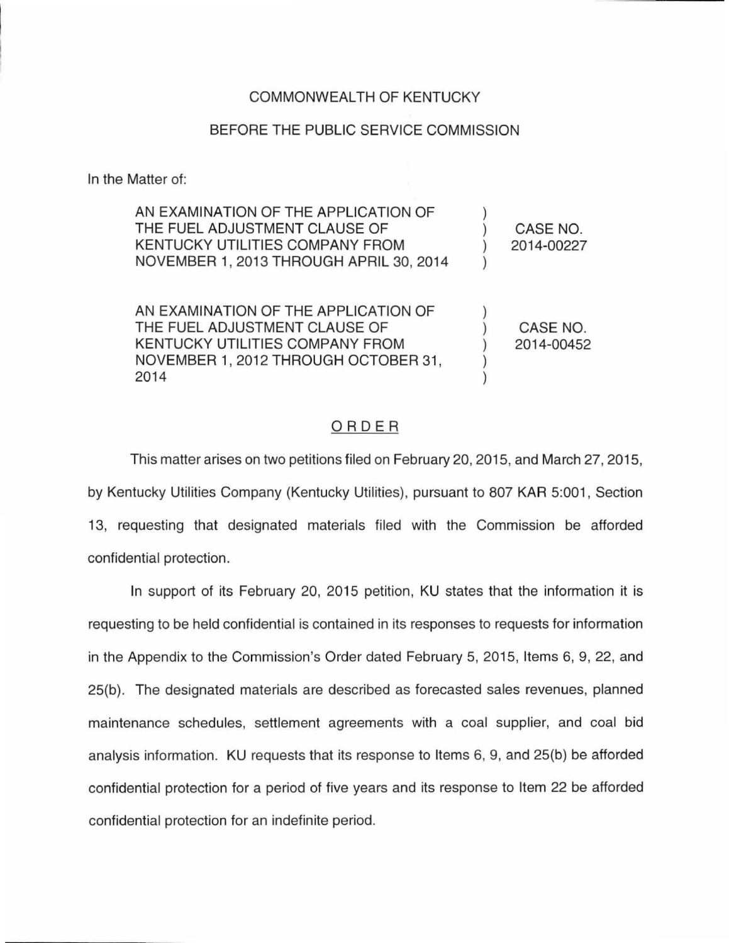## COMMONWEALTH OF KENTUCKY

## BEFORE THE PUBLIC SERVICE COMMISSION

In the Matter of:

| AN EXAMINATION OF THE APPLICATION OF<br>THE FUEL ADJUSTMENT CLAUSE OF<br>KENTUCKY UTILITIES COMPANY FROM<br>NOVEMBER 1, 2013 THROUGH APRIL 30, 2014      | CASE NO.<br>2014-00227 |
|----------------------------------------------------------------------------------------------------------------------------------------------------------|------------------------|
| AN EXAMINATION OF THE APPLICATION OF<br>THE FUEL ADJUSTMENT CLAUSE OF<br>KENTUCKY UTILITIES COMPANY FROM<br>NOVEMBER 1, 2012 THROUGH OCTOBER 31,<br>2014 | CASE NO.<br>2014-00452 |

## ORDER

This matter arises on two petitions filed on February 20, 2015, and March 27, 2015, by Kentucky Utilities Company (Kentucky Utilities), pursuant to 807 KAR 5:001, Section 13, requesting that designated materials filed with the Commission be afforded confidential protection.

In support of its February 20, 2015 petition, KU states that the information it is requesting to be held confidential is contained in its responses to requests for information in the Appendix to the Commission's Order dated February 5, 2015, Items 6, 9, 22, and 25(b). The designated materials are described as forecasted sales revenues, planned maintenance schedules, settlement agreements with a coal supplier, and coal bid analysis information. KU requests that its response to Items 6, 9, and 25(b) be afforded confidential protection for a period of five years and its response to Item 22 be afforded confidential protection for an indefinite period.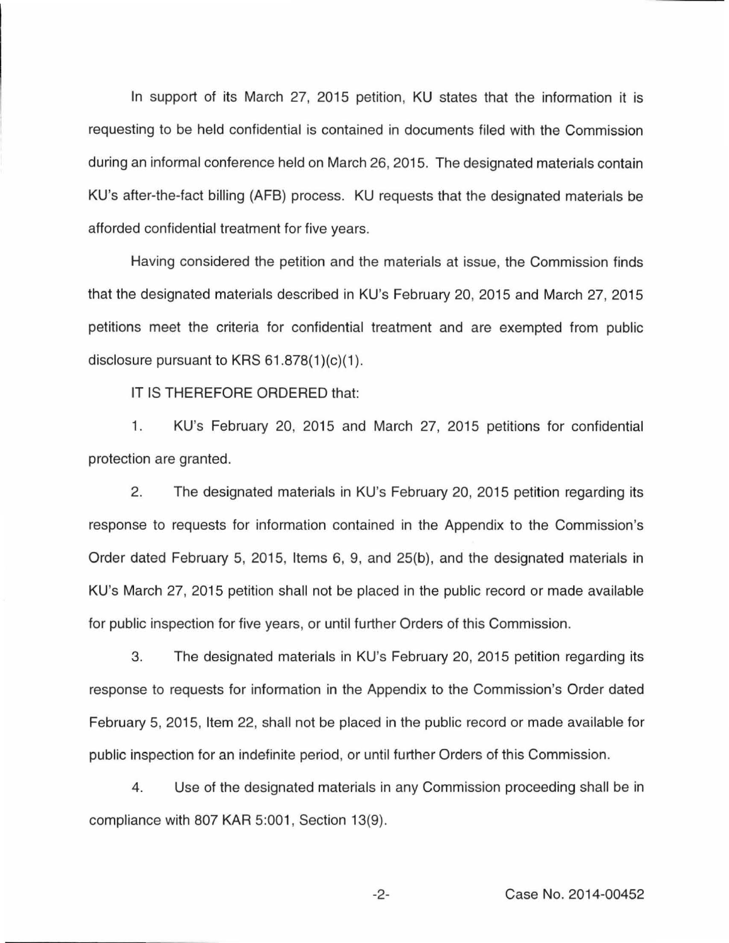In support of its March 27, 2015 petition, KU states that the information it is requesting to be held confidential is contained in documents filed with the Commission during an informal conference held on March 26, 2015. The designated materials contain KU's after-the-fact billing (AFB) process. KU requests that the designated materials be afforded confidential treatment for five years.

Having considered the petition and the materials at issue, the Commission finds that the designated materials described in KU's February 20, 2015 and March 27, 2015 petitions meet the criteria for confidential treatment and are exempted from public disclosure pursuant to KRS  $61.878(1)(c)(1)$ .

IT IS THEREFORE ORDERED that:

1. KU's February 20, 2015 and March 27, 2015 petitions for confidential protection are granted.

2. The designated materials in KU's February 20, 2015 petition regarding its response to requests for information contained in the Appendix to the Commission's Order dated February 5, 2015, Items 6, 9, and 25(b), and the designated materials in KU's March 27, 2015 petition shall not be placed in the public record or made available for public inspection for five years, or until further Orders of this Commission.

3. The designated materials in KU's February 20, 2015 petition regarding its response to requests for information in the Appendix to the Commission's Order dated February 5, 2015, Item 22, shall not be placed in the public record or made available for public inspection for an indefinite period, or until further Orders of this Commission.

4. Use of the designated materials in any Commission proceeding shall be in compliance with 807 KAR 5:001, Section 13(9).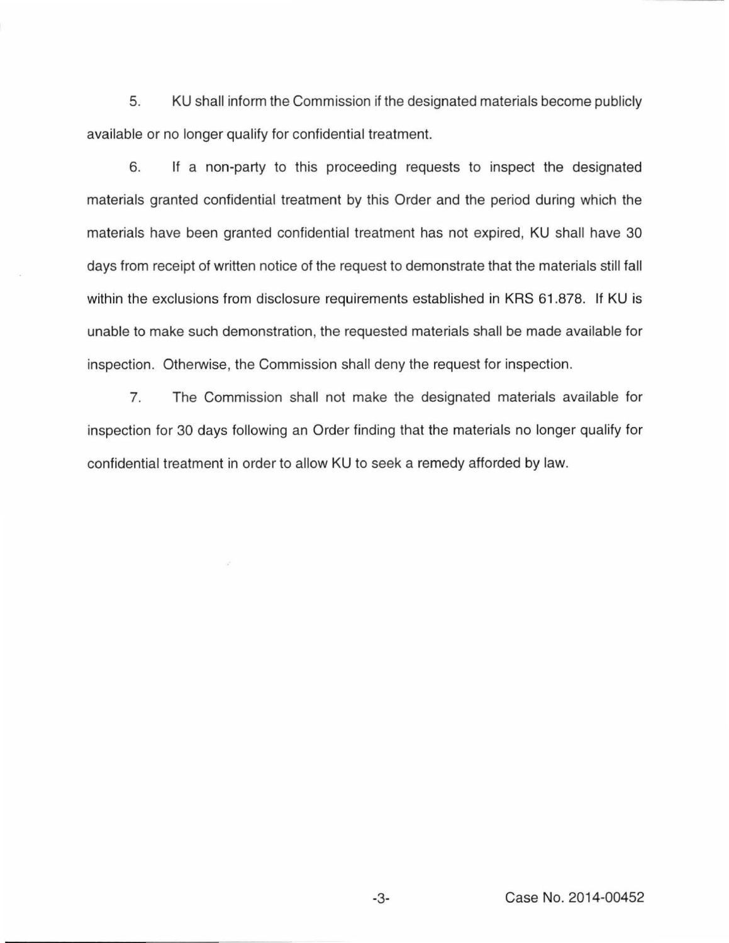5. KU shall inform the Commission if the designated materials become publicly available or no longer qualify for confidential treatment.

6. If a non-party to this proceeding requests to inspect the designated materials granted confidential treatment by this Order and the period during which the materials have been granted confidential treatment has not expired, KU shall have 30 days from receipt of written notice of the request to demonstrate that the materials still fall within the exclusions from disclosure requirements established in KRS 61.878. If KU is unable to make such demonstration, the requested materials shall be made available for inspection. Otherwise, the Commission shall deny the request for inspection.

7. The Commission shall not make the designated materials available for inspection for 30 days following an Order finding that the materials no longer qualify for confidential treatment in order to allow KU to seek a remedy afforded by law.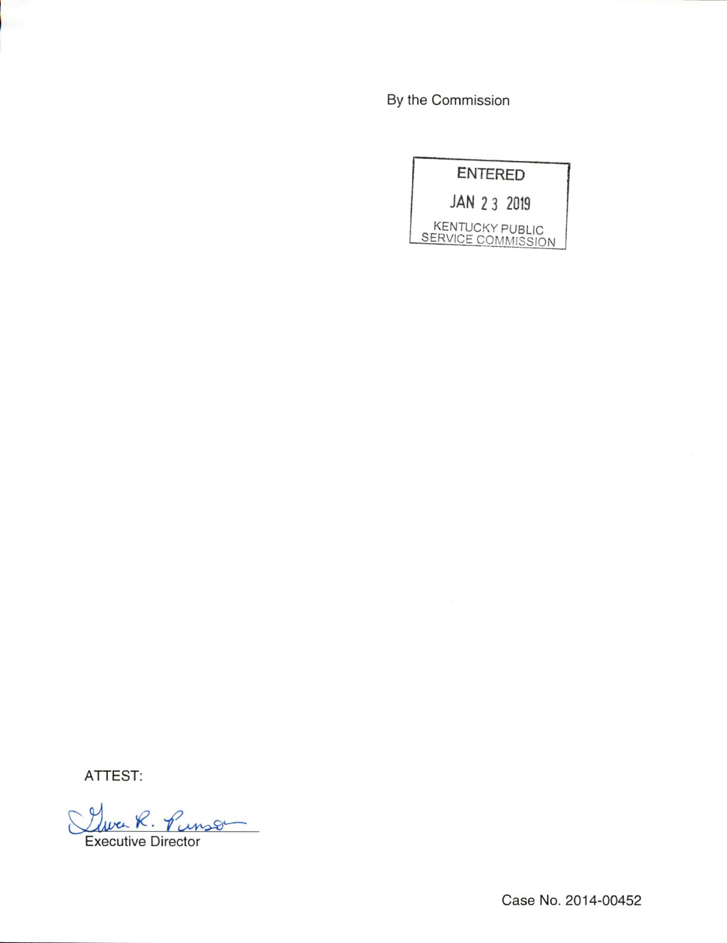By the Commission

|              | <b>ENTERED</b>                               |
|--------------|----------------------------------------------|
| JAN 2 3 2019 |                                              |
|              | <b>KENTUCKY PUBLIC</b><br>SERVICE COMMISSION |

ATTEST:

Luca R. Punson

Case No. 2014-00452